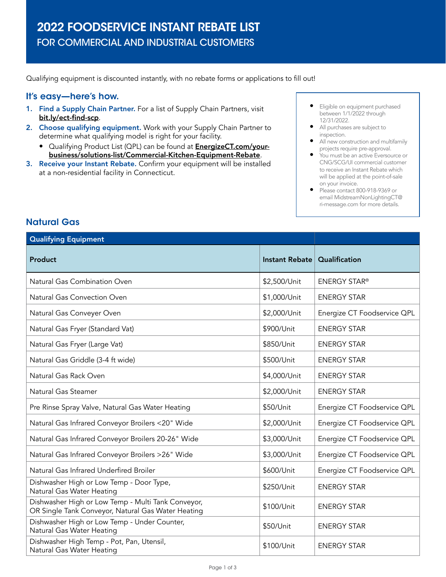Qualifying equipment is discounted instantly, with no rebate forms or applications to fill out!

## It's easy—here's how.

- 1. Find a Supply Chain Partner. For a list of Supply Chain Partners, visit [bit.ly/ect-find-scp](http://bit.ly/ect-find-scp).
- 2. Choose qualifying equipment. Work with your Supply Chain Partner to determine what qualifying model is right for your facility.
	- Qualifying Product List (QPL) can be found at [EnergizeCT.com/your](https://www.energizect.com/your-business/solutions-list/Commercial-Kitchen-Equipment-Rebate)[business/solutions-list/Commercial-Kitchen-Equipment-Rebate](https://www.energizect.com/your-business/solutions-list/Commercial-Kitchen-Equipment-Rebate).
- 3. Receive your Instant Rebate. Confirm your equipment will be installed at a non-residential facility in Connecticut.
- Eligible on equipment purchased between 1/1/2022 through 12/31/2022.
- All purchases are subject to inspection.
- All new construction and multifamily projects require pre-approval.
- You must be an active Eversource or CNG/SCG/UI commercial customer to receive an Instant Rebate which will be applied at the point-of-sale on your invoice.
- Please contact 800-918-9369 or email [MidstreamNonLightingCT@](mailto:MidstreamNonLightingCT%40ri-message.com?subject=) [ri-message.com](mailto:MidstreamNonLightingCT%40ri-message.com?subject=) for more details.

| <b>Qualifying Equipment</b>                                                                              |                       |                             |
|----------------------------------------------------------------------------------------------------------|-----------------------|-----------------------------|
| <b>Product</b>                                                                                           | <b>Instant Rebate</b> | Qualification               |
| Natural Gas Combination Oven                                                                             | \$2,500/Unit          | <b>ENERGY STAR®</b>         |
| Natural Gas Convection Oven                                                                              | \$1,000/Unit          | <b>ENERGY STAR</b>          |
| Natural Gas Conveyer Oven                                                                                | \$2,000/Unit          | Energize CT Foodservice QPL |
| Natural Gas Fryer (Standard Vat)                                                                         | \$900/Unit            | <b>ENERGY STAR</b>          |
| Natural Gas Fryer (Large Vat)                                                                            | \$850/Unit            | <b>ENERGY STAR</b>          |
| Natural Gas Griddle (3-4 ft wide)                                                                        | \$500/Unit            | <b>ENERGY STAR</b>          |
| Natural Gas Rack Oven                                                                                    | \$4,000/Unit          | <b>ENERGY STAR</b>          |
| Natural Gas Steamer                                                                                      | \$2,000/Unit          | <b>ENERGY STAR</b>          |
| Pre Rinse Spray Valve, Natural Gas Water Heating                                                         | \$50/Unit             | Energize CT Foodservice QPL |
| Natural Gas Infrared Conveyor Broilers <20" Wide                                                         | \$2,000/Unit          | Energize CT Foodservice QPL |
| Natural Gas Infrared Conveyor Broilers 20-26" Wide                                                       | \$3,000/Unit          | Energize CT Foodservice QPL |
| Natural Gas Infrared Conveyor Broilers >26" Wide                                                         | \$3,000/Unit          | Energize CT Foodservice QPL |
| Natural Gas Infrared Underfired Broiler                                                                  | \$600/Unit            | Energize CT Foodservice QPL |
| Dishwasher High or Low Temp - Door Type,<br>Natural Gas Water Heating                                    | \$250/Unit            | <b>ENERGY STAR</b>          |
| Dishwasher High or Low Temp - Multi Tank Conveyor,<br>OR Single Tank Conveyor, Natural Gas Water Heating | \$100/Unit            | <b>ENERGY STAR</b>          |
| Dishwasher High or Low Temp - Under Counter,<br>Natural Gas Water Heating                                | \$50/Unit             | <b>ENERGY STAR</b>          |
| Dishwasher High Temp - Pot, Pan, Utensil,<br>Natural Gas Water Heating                                   | \$100/Unit            | <b>ENERGY STAR</b>          |

## Natural Gas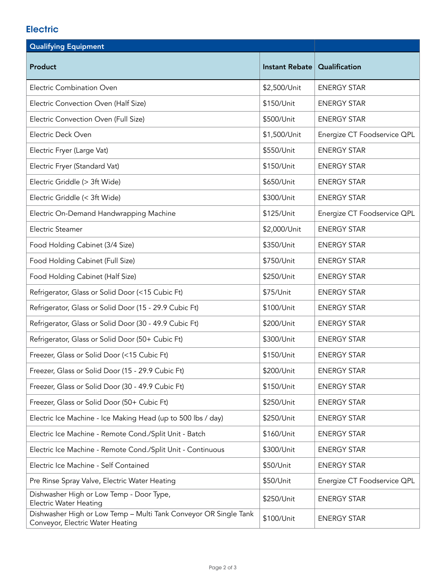## **Electric**

| <b>Qualifying Equipment</b>                                                                          |                |                             |
|------------------------------------------------------------------------------------------------------|----------------|-----------------------------|
| Product                                                                                              | Instant Rebate | Qualification               |
| <b>Electric Combination Oven</b>                                                                     | \$2,500/Unit   | <b>ENERGY STAR</b>          |
| Electric Convection Oven (Half Size)                                                                 | \$150/Unit     | <b>ENERGY STAR</b>          |
| Electric Convection Oven (Full Size)                                                                 | \$500/Unit     | <b>ENERGY STAR</b>          |
| Electric Deck Oven                                                                                   | \$1,500/Unit   | Energize CT Foodservice QPL |
| Electric Fryer (Large Vat)                                                                           | \$550/Unit     | <b>ENERGY STAR</b>          |
| Electric Fryer (Standard Vat)                                                                        | \$150/Unit     | <b>ENERGY STAR</b>          |
| Electric Griddle (> 3ft Wide)                                                                        | \$650/Unit     | <b>ENERGY STAR</b>          |
| Electric Griddle (< 3ft Wide)                                                                        | \$300/Unit     | <b>ENERGY STAR</b>          |
| Electric On-Demand Handwrapping Machine                                                              | \$125/Unit     | Energize CT Foodservice QPL |
| Electric Steamer                                                                                     | \$2,000/Unit   | <b>ENERGY STAR</b>          |
| Food Holding Cabinet (3/4 Size)                                                                      | \$350/Unit     | <b>ENERGY STAR</b>          |
| Food Holding Cabinet (Full Size)                                                                     | \$750/Unit     | <b>ENERGY STAR</b>          |
| Food Holding Cabinet (Half Size)                                                                     | \$250/Unit     | <b>ENERGY STAR</b>          |
| Refrigerator, Glass or Solid Door (<15 Cubic Ft)                                                     | \$75/Unit      | <b>ENERGY STAR</b>          |
| Refrigerator, Glass or Solid Door (15 - 29.9 Cubic Ft)                                               | \$100/Unit     | <b>ENERGY STAR</b>          |
| Refrigerator, Glass or Solid Door (30 - 49.9 Cubic Ft)                                               | \$200/Unit     | <b>ENERGY STAR</b>          |
| Refrigerator, Glass or Solid Door (50+ Cubic Ft)                                                     | \$300/Unit     | <b>ENERGY STAR</b>          |
| Freezer, Glass or Solid Door (<15 Cubic Ft)                                                          | \$150/Unit     | <b>ENERGY STAR</b>          |
| Freezer, Glass or Solid Door (15 - 29.9 Cubic Ft)                                                    | \$200/Unit     | <b>ENERGY STAR</b>          |
| Freezer, Glass or Solid Door (30 - 49.9 Cubic Ft)                                                    | \$150/Unit     | <b>ENERGY STAR</b>          |
| Freezer, Glass or Solid Door (50+ Cubic Ft)                                                          | \$250/Unit     | <b>ENERGY STAR</b>          |
| Electric Ice Machine - Ice Making Head (up to 500 lbs / day)                                         | \$250/Unit     | <b>ENERGY STAR</b>          |
| Electric Ice Machine - Remote Cond./Split Unit - Batch                                               | \$160/Unit     | <b>ENERGY STAR</b>          |
| Electric Ice Machine - Remote Cond./Split Unit - Continuous                                          | \$300/Unit     | <b>ENERGY STAR</b>          |
| Electric Ice Machine - Self Contained                                                                | \$50/Unit      | <b>ENERGY STAR</b>          |
| Pre Rinse Spray Valve, Electric Water Heating                                                        | \$50/Unit      | Energize CT Foodservice QPL |
| Dishwasher High or Low Temp - Door Type,<br><b>Electric Water Heating</b>                            | \$250/Unit     | <b>ENERGY STAR</b>          |
| Dishwasher High or Low Temp - Multi Tank Conveyor OR Single Tank<br>Conveyor, Electric Water Heating | \$100/Unit     | <b>ENERGY STAR</b>          |